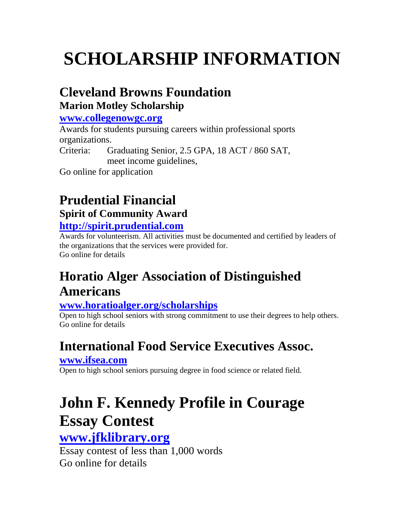# **Cleveland Browns Foundation**

### **Marion Motley Scholarship**

#### **[www.collegenowgc.org](http://www.collegenowgc.org/)**

Awards for students pursuing careers within professional sports organizations. Criteria: Graduating Senior, 2.5 GPA, 18 ACT / 860 SAT, meet income guidelines,

Go online for application

## **Prudential Financial Spirit of Community Award**

#### **[http://spirit.prudential.com](http://spirit.prudential.com/)**

Awards for volunteerism. All activities must be documented and certified by leaders of the organizations that the services were provided for. Go online for details

## **Horatio Alger Association of Distinguished Americans**

### **[www.horatioalger.org/scholarships](http://www.horatioalger.org/scholarships)**

Open to high school seniors with strong commitment to use their degrees to help others. Go online for details

## **International Food Service Executives Assoc.**

#### **[www.ifsea.com](http://www.ifsea.com/)**

Open to high school seniors pursuing degree in food science or related field.

# **John F. Kennedy Profile in Courage Essay Contest**

### **[www.jfklibrary.org](http://www.jfklibrary.org/)**

Essay contest of less than 1,000 words Go online for details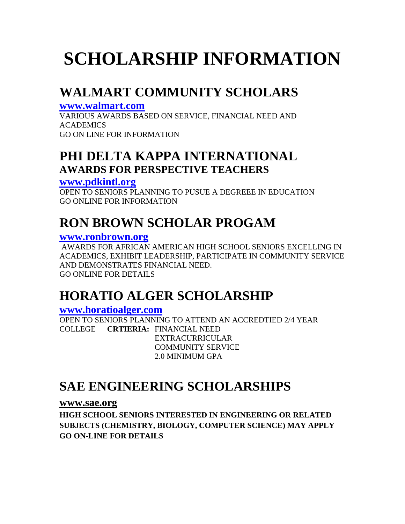## **WALMART COMMUNITY SCHOLARS**

#### **[www.walmart.com](http://www.walmart.com/)**

VARIOUS AWARDS BASED ON SERVICE, FINANCIAL NEED AND ACADEMICS GO ON LINE FOR INFORMATION

### **PHI DELTA KAPPA INTERNATIONAL AWARDS FOR PERSPECTIVE TEACHERS**

#### **[www.pdkintl.org](http://www.pdkintl.org/)**

OPEN TO SENIORS PLANNING TO PUSUE A DEGREEE IN EDUCATION GO ONLINE FOR INFORMATION

## **RON BROWN SCHOLAR PROGAM**

#### **[www.ronbrown.org](http://www.ronbrown.org/)**

AWARDS FOR AFRICAN AMERICAN HIGH SCHOOL SENIORS EXCELLING IN ACADEMICS, EXHIBIT LEADERSHIP, PARTICIPATE IN COMMUNITY SERVICE AND DEMONSTRATES FINANCIAL NEED. GO ONLINE FOR DETAILS

### **HORATIO ALGER SCHOLARSHIP**

#### **[www.horatioalger.com](http://www.horatioalger.com/)**

OPEN TO SENIORS PLANNING TO ATTEND AN ACCREDTIED 2/4 YEAR COLLEGE **CRTIERIA:** FINANCIAL NEED EXTRACURRICULAR COMMUNITY SERVICE 2.0 MINIMUM GPA

### **SAE ENGINEERING SCHOLARSHIPS**

#### **www.sae.org**

**HIGH SCHOOL SENIORS INTERESTED IN ENGINEERING OR RELATED SUBJECTS (CHEMISTRY, BIOLOGY, COMPUTER SCIENCE) MAY APPLY GO ON-LINE FOR DETAILS**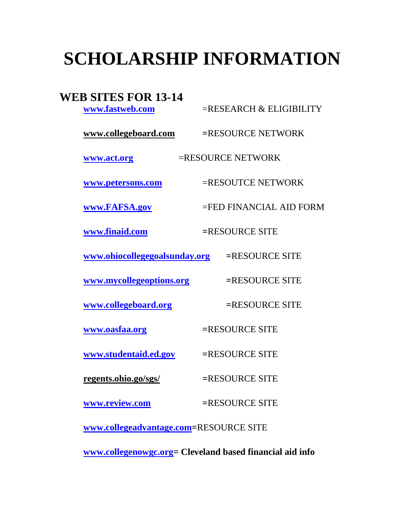#### **WEB SITES FOR 13-14**

**[www.fastweb.com](http://www.fastweb.com/)** =RESEARCH & ELIGIBILITY **www.collegeboard.com =**RESOURCE NETWORK **[www.act.org](http://www.act.org/)** =RESOURCE NETWORK **[www.petersons.com](http://www.petersons.com/)** =RESOUTCE NETWORK **[www.FAFSA.gov](http://www.fafsa.gov/)** =FED FINANCIAL AID FORM **[www.finaid.com](http://www.finaid.com/) =**RESOURCE SITE **[www.ohiocollegegoalsunday.org](http://www.ohiocollegegoalsunday.org/) =**RESOURCE SITE **[www.mycollegeoptions.org](http://www.mycollegeoptions.org/) =**RESOURCE SITE **[www.collegeboard.org](http://www.collegeboard.org/) =**RESOURCE SITE **[www.oasfaa.org](http://www.oasfaa.org/) =**RESOURCE SITE **[www.studentaid.ed.gov](http://www.studentaid.ed.gov/) =**RESOURCE SITE **regents.ohio.go/sgs/ =**RESOURCE SITE **[www.review.com](http://www.review.com/) =**RESOURCE SITE **[www.collegeadvantage.com=](http://www.collegeadvantage.com/)**RESOURCE SITE

**[www.collegenowgc.org=](http://www.collegenowgc.org/) Cleveland based financial aid info**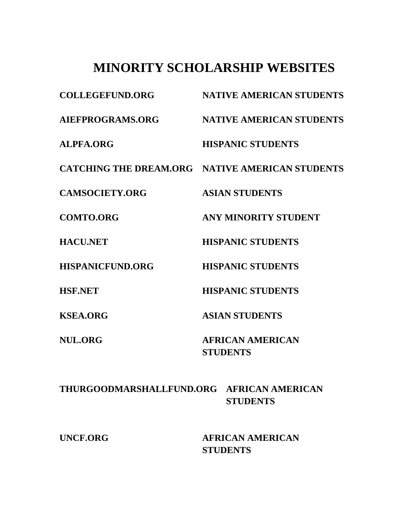### **MINORITY SCHOLARSHIP WEBSITES**

| <b>COLLEGEFUND.ORG</b>  | <b>NATIVE AMERICAN STUDENTS</b>                 |
|-------------------------|-------------------------------------------------|
| AIEFPROGRAMS.ORG        | <b>NATIVE AMERICAN STUDENTS</b>                 |
| <b>ALPFA.ORG</b>        | <b>HISPANIC STUDENTS</b>                        |
|                         | CATCHING THE DREAM.ORG NATIVE AMERICAN STUDENTS |
| <b>CAMSOCIETY.ORG</b>   | <b>ASIAN STUDENTS</b>                           |
| <b>COMTO.ORG</b>        | <b>ANY MINORITY STUDENT</b>                     |
| <b>HACU.NET</b>         | <b>HISPANIC STUDENTS</b>                        |
| <b>HISPANICFUND.ORG</b> | <b>HISPANIC STUDENTS</b>                        |
| <b>HSF.NET</b>          | <b>HISPANIC STUDENTS</b>                        |
| <b>KSEA.ORG</b>         | <b>ASIAN STUDENTS</b>                           |
| <b>NUL.ORG</b>          | <b>AFRICAN AMERICAN</b><br><b>STUDENTS</b>      |

#### **THURGOODMARSHALLFUND.ORG AFRICAN AMERICAN STUDENTS**

**UNCF.ORG AFRICAN AMERICAN STUDENTS**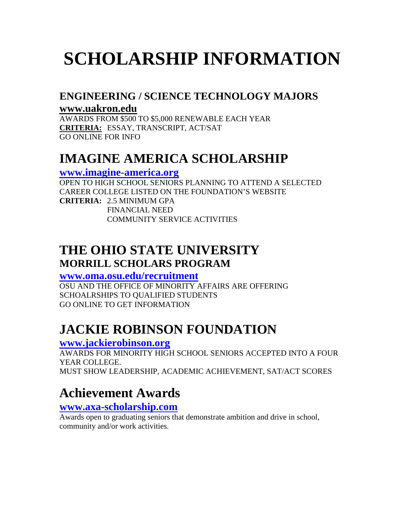#### **ENGINEERING / SCIENCE TECHNOLOGY MAJORS**

#### **www.uakron.edu**

AWARDS FROM \$500 TO \$5,000 RENEWABLE EACH YEAR **CRITERIA:** ESSAY, TRANSCRIPT, ACT/SAT GO ONLINE FOR INFO

### **IMAGINE AMERICA SCHOLARSHIP**

#### **[www.imagine-america.org](http://www.imagine-america.org/)**

OPEN TO HIGH SCHOOL SENIORS PLANNING TO ATTEND A SELECTED CAREER COLLEGE LISTED ON THE FOUNDATION'S WEBSITE **CRITERIA:** 2.5 MINIMUM GPA FINANCIAL NEED COMMUNITY SERVICE ACTIVITIES

### **THE OHIO STATE UNIVERSITY MORRILL SCHOLARS PROGRAM**

#### **[www.oma.osu.edu/recruitment](http://www.oma.osu.edu/recruitment)**

OSU AND THE OFFICE OF MINORITY AFFAIRS ARE OFFERING SCHOALRSHIPS TO QUALIFIED STUDENTS GO ONLINE TO GET INFORMATION

## **JACKIE ROBINSON FOUNDATION**

#### **[www.jackierobinson.org](http://www.jackierobinson.org/)**

AWARDS FOR MINORITY HIGH SCHOOL SENIORS ACCEPTED INTO A FOUR YEAR COLLEGE. MUST SHOW LEADERSHIP, ACADEMIC ACHIEVEMENT, SAT/ACT SCORES

## **Achievement Awards**

#### **[www.axa-scholarship.com](http://www.axa-scholarship.com/)**

Awards open to graduating seniors that demonstrate ambition and drive in school, community and/or work activities.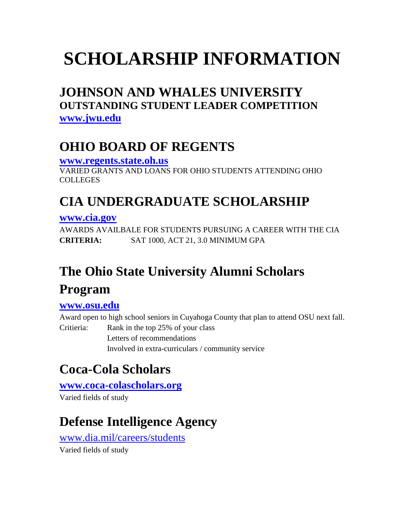### **JOHNSON AND WHALES UNIVERSITY OUTSTANDING STUDENT LEADER COMPETITION [www.jwu.edu](http://www.jwu.edu/)**

### **OHIO BOARD OF REGENTS**

**[www.regents.state.oh.us](http://www.regents.state.oh.us/)** VARIED GRANTS AND LOANS FOR OHIO STUDENTS ATTENDING OHIO **COLLEGES** 

### **CIA UNDERGRADUATE SCHOLARSHIP**

#### **[www.cia.gov](http://www.cia.gov/careers/index.html)**

AWARDS AVAILBALE FOR STUDENTS PURSUING A CAREER WITH THE CIA **CRITERIA:** SAT 1000, ACT 21, 3.0 MINIMUM GPA

# **The Ohio State University Alumni Scholars Program**

#### **[www.osu.edu](http://www.applyweb.com/apply/osu/index.html)**

Award open to high school seniors in Cuyahoga County that plan to attend OSU next fall. Critieria: Rank in the top 25% of your class Letters of recommendations Involved in extra-curriculars / community service

## **Coca-Cola Scholars**

**[www.coca-colascholars.org](http://www.coca-colascholars.org/)**

Varied fields of study

## **Defense Intelligence Agency**

[www.dia.mil/careers/students](http://www.dia.mil/careers/students)

Varied fields of study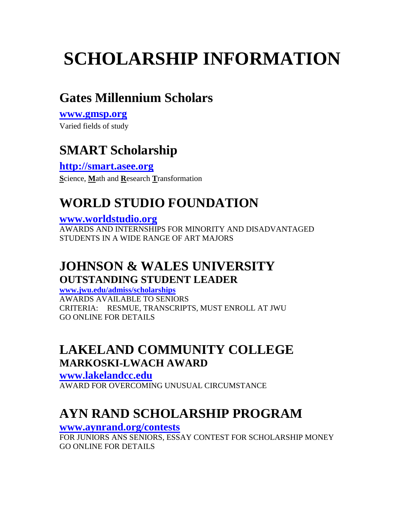### **Gates Millennium Scholars**

### **[www.gmsp.org](http://www.gmsp.org/)**

Varied fields of study

### **SMART Scholarship**

**[http://smart.asee.org](http://smart.asee.org/) S**cience, **M**ath and **R**esearch **T**ransformation

### **WORLD STUDIO FOUNDATION**

#### **[www.worldstudio.org](http://www.worldstudio.org/)**

AWARDS AND INTERNSHIPS FOR MINORITY AND DISADVANTAGED STUDENTS IN A WIDE RANGE OF ART MAJORS

### **JOHNSON & WALES UNIVERSITY OUTSTANDING STUDENT LEADER**

**[www.jwu.edu/admiss/scholarships](http://www.jwu.edu/admiss/scholarships)** AWARDS AVAILABLE TO SENIORS CRITERIA: RESMUE, TRANSCRIPTS, MUST ENROLL AT JWU GO ONLINE FOR DETAILS

### **LAKELAND COMMUNITY COLLEGE MARKOSKI-LWACH AWARD**

**[www.lakelandcc.edu](http://www.lakelandcc.edu/)** AWARD FOR OVERCOMING UNUSUAL CIRCUMSTANCE

## **AYN RAND SCHOLARSHIP PROGRAM**

#### **[www.aynrand.org/contests](http://www.aynrand.org/contests)**

FOR JUNIORS ANS SENIORS, ESSAY CONTEST FOR SCHOLARSHIP MONEY GO ONLINE FOR DETAILS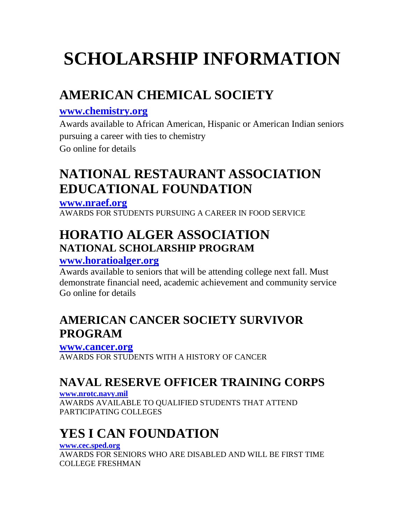# **AMERICAN CHEMICAL SOCIETY**

#### **[www.chemistry.org](http://www.chemistry.org/)**

Awards available to African American, Hispanic or American Indian seniors pursuing a career with ties to chemistry Go online for details

### **NATIONAL RESTAURANT ASSOCIATION EDUCATIONAL FOUNDATION**

#### **[www.nraef.org](http://www.nraef.org/)**

AWARDS FOR STUDENTS PURSUING A CAREER IN FOOD SERVICE

### **HORATIO ALGER ASSOCIATION NATIONAL SCHOLARSHIP PROGRAM**

#### **[www.horatioalger.org](http://www.horatioalger.org/)**

Awards available to seniors that will be attending college next fall. Must demonstrate financial need, academic achievement and community service Go online for details

### **AMERICAN CANCER SOCIETY SURVIVOR PROGRAM**

#### **[www.cancer.org](http://www.cancer.org/)**

AWARDS FOR STUDENTS WITH A HISTORY OF CANCER

### **NAVAL RESERVE OFFICER TRAINING CORPS**

#### **[www.nrotc.navy.mil](http://www.nrotc.navy.mil/)**

AWARDS AVAILABLE TO QUALIFIED STUDENTS THAT ATTEND PARTICIPATING COLLEGES

# **YES I CAN FOUNDATION**

#### **[www.cec.sped.org](http://www.cec.sped.org/)**

AWARDS FOR SENIORS WHO ARE DISABLED AND WILL BE FIRST TIME COLLEGE FRESHMAN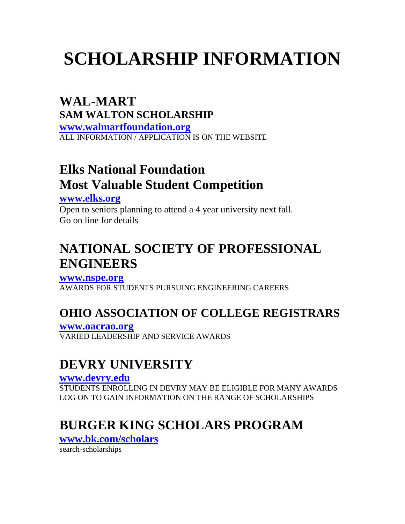### **WAL-MART SAM WALTON SCHOLARSHIP**

**[www.walmartfoundation.org](http://www.walmartfoundation.org/)** ALL INFORMATION / APPLICATION IS ON THE WEBSITE

### **Elks National Foundation Most Valuable Student Competition**

**[www.elks.org](http://www.elks.org/)**

Open to seniors planning to attend a 4 year university next fall. Go on line for details

## **NATIONAL SOCIETY OF PROFESSIONAL ENGINEERS**

**[www.nspe.org](http://www.nspe.org/)** AWARDS FOR STUDENTS PURSUING ENGINEERING CAREERS

### **OHIO ASSOCIATION OF COLLEGE REGISTRARS**

**[www.oacrao.org](http://www.oacrao.org/)** VARIED LEADERSHIP AND SERVICE AWARDS

## **DEVRY UNIVERSITY**

**[www.devry.edu](http://www.devry.edu/)** STUDENTS ENROLLING IN DEVRY MAY BE ELIGIBLE FOR MANY AWARDS LOG ON TO GAIN INFORMATION ON THE RANGE OF SCHOLARSHIPS

## **BURGER KING SCHOLARS PROGRAM**

**[www.bk.com/scholars](http://www.bk.com/scholars)**

search-scholarships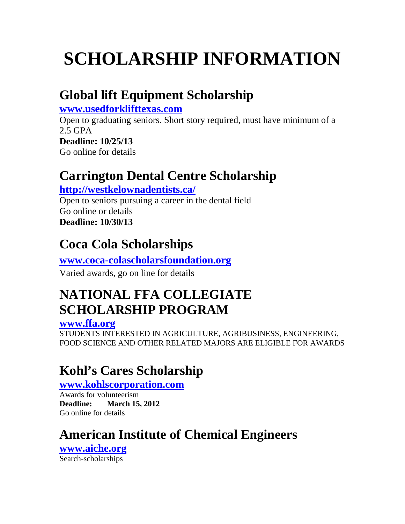## **Global lift Equipment Scholarship**

**[www.usedforklifttexas.com](http://www.usedforklifttexas.com/)**

Open to graduating seniors. Short story required, must have minimum of a 2.5 GPA

**Deadline: 10/25/13** Go online for details

## **Carrington Dental Centre Scholarship**

**<http://westkelownadentists.ca/>**

Open to seniors pursuing a career in the dental field Go online or details **Deadline: 10/30/13**

## **Coca Cola Scholarships**

### **[www.coca-colascholarsfoundation.org](http://www.coca-colascholarsfoundation.org/)**

Varied awards, go on line for details

## **NATIONAL FFA COLLEGIATE SCHOLARSHIP PROGRAM**

#### **[www.ffa.org](http://www.ffa.org/)**

STUDENTS INTERESTED IN AGRICULTURE, AGRIBUSINESS, ENGINEERING, FOOD SCIENCE AND OTHER RELATED MAJORS ARE ELIGIBLE FOR AWARDS

## **Kohl's Cares Scholarship**

#### **[www.kohlscorporation.com](http://www.kohlscorporation.com/)**

Awards for volunteerism **Deadline: March 15, 2012** Go online for details

## **American Institute of Chemical Engineers**

**[www.aiche.org](http://www.aiche.org/)** Search-scholarships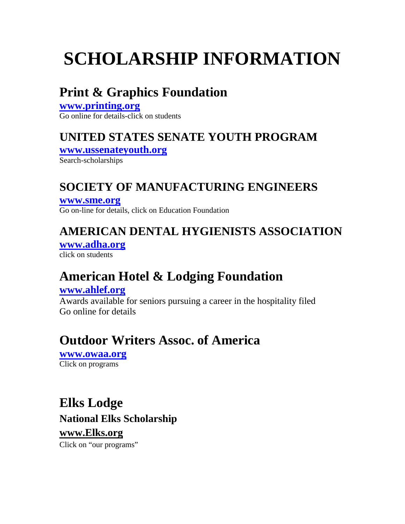## **Print & Graphics Foundation**

#### **[www.printing.org](http://www.printing.org/)** Go online for details-click on students

### **UNITED STATES SENATE YOUTH PROGRAM**

**[www.ussenateyouth.org](http://www.ussenateyouth.org/)**

Search-scholarships

### **SOCIETY OF MANUFACTURING ENGINEERS**

**[www.sme.org](http://www.sme.org/)** Go on-line for details, click on Education Foundation

### **AMERICAN DENTAL HYGIENISTS ASSOCIATION**

**[www.adha.org](http://www.adha.org/)** click on students

### **American Hotel & Lodging Foundation**

#### **[www.ahlef.org](http://www.ahlef.org/)**

Awards available for seniors pursuing a career in the hospitality filed Go online for details

### **Outdoor Writers Assoc. of America**

**[www.owaa.org](http://www.owaa.org/)** Click on programs

**Elks Lodge National Elks Scholarship www.Elks.org** Click on "our programs"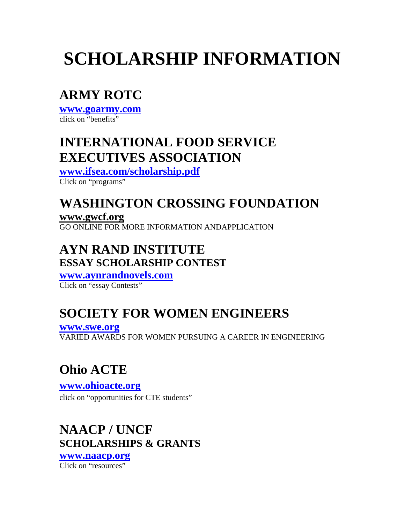## **ARMY ROTC**

**[www.goarmy.com](http://www.goarmy.com/rotc/high_school_students.jsp)** click on "benefits"

### **INTERNATIONAL FOOD SERVICE EXECUTIVES ASSOCIATION**

**[www.ifsea.com/scholarship.pdf](http://www.ifsea.com/scholarship.pdf)**

Click on "programs"

## **WASHINGTON CROSSING FOUNDATION**

**www.gwcf.org** GO ONLINE FOR MORE INFORMATION ANDAPPLICATION

### **AYN RAND INSTITUTE ESSAY SCHOLARSHIP CONTEST**

**[www.aynrandnovels.com](http://www.aynrandnovels.com/)** Click on "essay Contests"

## **SOCIETY FOR WOMEN ENGINEERS**

**[www.swe.org](http://www.swe.org/)** VARIED AWARDS FOR WOMEN PURSUING A CAREER IN ENGINEERING

# **Ohio ACTE**

**[www.ohioacte.org](http://www.ohioacte.org/)** click on "opportunities for CTE students"

### **NAACP / UNCF SCHOLARSHIPS & GRANTS**

**[www.naacp.org](http://www.naacp.org/work/education/eduscholarship.shtml)** Click on "resources"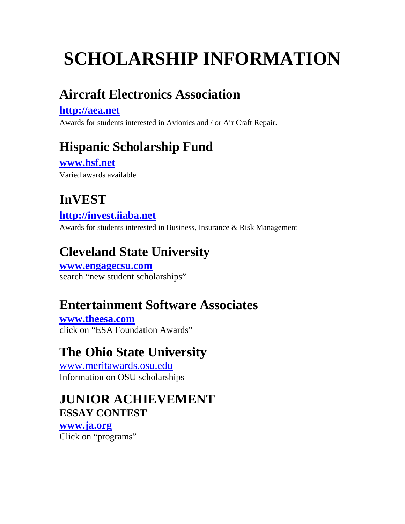### **Aircraft Electronics Association**

#### **[http://aea.net](http://aea.net/)**

Awards for students interested in Avionics and / or Air Craft Repair.

## **Hispanic Scholarship Fund**

**[www.hsf.net](http://www.hsf.net/)** Varied awards available

### **InVEST**

**[http://invest.iiaba.net](http://invest.iiaba.net/)**

Awards for students interested in Business, Insurance & Risk Management

## **Cleveland State University**

**[www.engagecsu.com](http://www.engagecsu.com/)** search "new student scholarships"

### **Entertainment Software Associates**

**[www.theesa.com](http://www.theesa.com/)** click on "ESA Foundation Awards"

### **The Ohio State University**

[www.meritawards.osu.edu](http://www.meritawards.osu.edu/) Information on OSU scholarships

### **JUNIOR ACHIEVEMENT ESSAY CONTEST**

#### **[www.ja.org](http://www.ja.org/ethics/ethics_essay_rules.shtml)**

Click on "programs"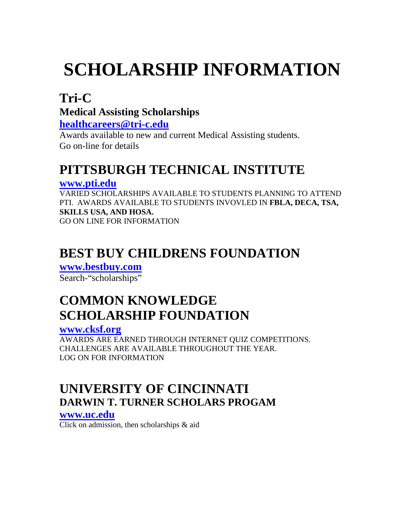### **Tri-C Medical Assisting Scholarships**

**[healthcareers@tri-c.edu](mailto:healthcareers@tri-c.edu)**

Awards available to new and current Medical Assisting students. Go on-line for details

## **PITTSBURGH TECHNICAL INSTITUTE**

#### **[www.pti.edu](http://www.pti.edu/)**

VARIED SCHOLARSHIPS AVAILABLE TO STUDENTS PLANNING TO ATTEND PTI. AWARDS AVAILABLE TO STUDENTS INVOVLED IN **FBLA, DECA, TSA, SKILLS USA, AND HOSA.** GO ON LINE FOR INFORMATION

## **BEST BUY CHILDRENS FOUNDATION**

**[www.bestbuy.com](http://www.bestbuy.com/scholarships)** Search-"scholarships"

## **COMMON KNOWLEDGE SCHOLARSHIP FOUNDATION**

#### **[www.cksf.org](http://www.cksf.org/)**

AWARDS ARE EARNED THROUGH INTERNET QUIZ COMPETITIONS. CHALLENGES ARE AVAILABLE THROUGHOUT THE YEAR. LOG ON FOR INFORMATION

### **UNIVERSITY OF CINCINNATI DARWIN T. TURNER SCHOLARS PROGAM**

#### **[www.uc.edu](http://www.uc.edu/)**

Click on admission, then scholarships & aid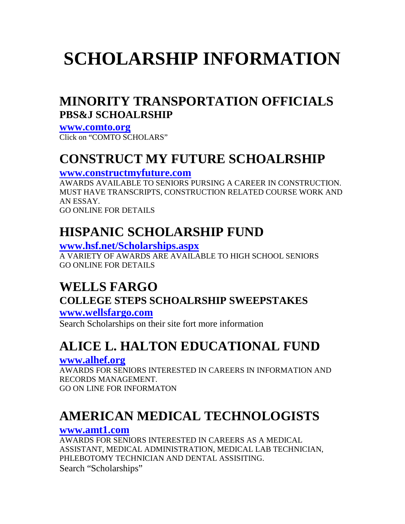### **MINORITY TRANSPORTATION OFFICIALS PBS&J SCHOALRSHIP**

**[www.comto.org](http://www.comto.org/schoalrship/htm)** Click on "COMTO SCHOLARS"

### **CONSTRUCT MY FUTURE SCHOALRSHIP**

#### **[www.constructmyfuture.com](http://www.constructmyfuture.com/)**

AWARDS AVAILABLE TO SENIORS PURSING A CAREER IN CONSTRUCTION. MUST HAVE TRANSCRIPTS, CONSTRUCTION RELATED COURSE WORK AND AN ESSAY. GO ONLINE FOR DETAILS

### **HISPANIC SCHOLARSHIP FUND**

#### **[www.hsf.net/Scholarships.aspx](http://www.hsf.net/Scholarships.aspx)**

A VARIETY OF AWARDS ARE AVAILABLE TO HIGH SCHOOL SENIORS GO ONLINE FOR DETAILS

### **WELLS FARGO COLLEGE STEPS SCHOALRSHIP SWEEPSTAKES**

**[www.wellsfargo.com](http://www.wellsfargo.com/student/planning/scholarships)**

Search Scholarships on their site fort more information

## **ALICE L. HALTON EDUCATIONAL FUND**

#### **[www.alhef.org](http://www.alhef.org/)**

AWARDS FOR SENIORS INTERESTED IN CAREERS IN INFORMATION AND RECORDS MANAGEMENT. GO ON LINE FOR INFORMATON

## **AMERICAN MEDICAL TECHNOLOGISTS**

#### **[www.amt1.com](http://www.amt1.com/)**

AWARDS FOR SENIORS INTERESTED IN CAREERS AS A MEDICAL ASSISTANT, MEDICAL ADMINISTRATION, MEDICAL LAB TECHNICIAN, PHLEBOTOMY TECHNICIAN AND DENTAL ASSISITING. Search "Scholarships"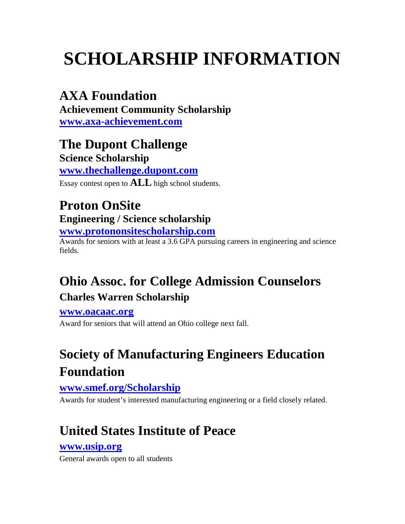### **AXA Foundation**

**Achievement Community Scholarship [www.axa-achievement.com](http://www.axa-achievement.com/)**

**The Dupont Challenge Science Scholarship [www.thechallenge.dupont.com](http://www.thechallenge.dupont.com/)**

Essay contest open to **ALL** high school students.

## **Proton OnSite Engineering / Science scholarship**

**[www.protononsitescholarship.com](http://www.protononsitescholarship.com/)**

Awards for seniors with at least a 3.6 GPA pursuing careers in engineering and science fields.

### **Ohio Assoc. for College Admission Counselors Charles Warren Scholarship**

**[www.oacaac.org](http://www.oacaac.org/)**

Award for seniors that will attend an Ohio college next fall.

## **Society of Manufacturing Engineers Education Foundation**

#### **[www.smef.org/Scholarship](http://www.smef.org/Scholarship)**

Awards for student's interested manufacturing engineering or a field closely related.

## **United States Institute of Peace**

#### **[www.usip.org](http://www.usip.org/)**

General awards open to all students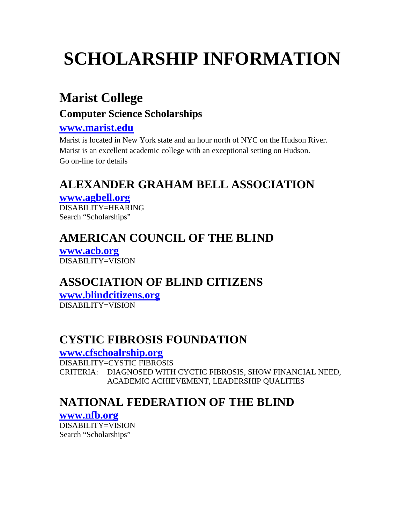### **Marist College**

#### **Computer Science Scholarships**

#### **[www.marist.edu](http://www.marist.edu/)**

Marist is located in New York state and an hour north of NYC on the Hudson River. Marist is an excellent academic college with an exceptional setting on Hudson. Go on-line for details

### **ALEXANDER GRAHAM BELL ASSOCIATION**

#### **[www.agbell.org](http://www.agbell.org/)**

DISABILITY=HEARING Search "Scholarships"

### **AMERICAN COUNCIL OF THE BLIND**

**[www.acb.org](http://www.acb.org/resources/finaid-scholarships.html)** DISABILITY=VISION

### **ASSOCIATION OF BLIND CITIZENS**

**[www.blindcitizens.org](http://www.blindcitizens.org/)**

DISABILITY=VISION

### **CYSTIC FIBROSIS FOUNDATION**

#### **[www.cfschoalrship.org](http://www.cfschoalrship.org/)**

DISABILITY=CYSTIC FIBROSIS CRITERIA: DIAGNOSED WITH CYCTIC FIBROSIS, SHOW FINANCIAL NEED, ACADEMIC ACHIEVEMENT, LEADERSHIP QUALITIES

### **NATIONAL FEDERATION OF THE BLIND**

#### **[www.nfb.org](http://www.nfb.org/)**

DISABILITY=VISION Search "Scholarships"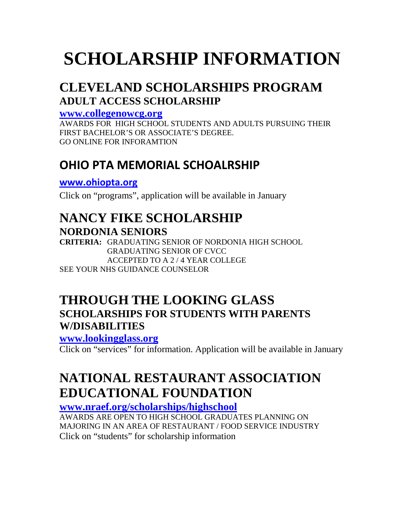### **CLEVELAND SCHOLARSHIPS PROGRAM ADULT ACCESS SCHOLARSHIP**

**[www.collegenowcg.org](http://www.collegenowcg.org/)**

AWARDS FOR HIGH SCHOOL STUDENTS AND ADULTS PURSUING THEIR FIRST BACHELOR'S OR ASSOCIATE'S DEGREE. GO ONLINE FOR INFORAMTION

### **OHIO PTA MEMORIAL SCHOALRSHIP**

**[www.ohiopta.org](http://www.ohiopta.org/)**

Click on "programs", application will be available in January

### **NANCY FIKE SCHOLARSHIP NORDONIA SENIORS**

**CRITERIA:** GRADUATING SENIOR OF NORDONIA HIGH SCHOOL GRADUATING SENIOR OF CVCC ACCEPTED TO A 2 / 4 YEAR COLLEGE SEE YOUR NHS GUIDANCE COUNSELOR

### **THROUGH THE LOOKING GLASS SCHOLARSHIPS FOR STUDENTS WITH PARENTS W/DISABILITIES**

**[www.lookingglass.org](http://www.lookingglass.org/)**

Click on "services" for information. Application will be available in January

### **NATIONAL RESTAURANT ASSOCIATION EDUCATIONAL FOUNDATION**

**[www.nraef.org/scholarships/highschool](http://www.nraef.org/scholarships/highschool)**

AWARDS ARE OPEN TO HIGH SCHOOL GRADUATES PLANNING ON MAJORING IN AN AREA OF RESTAURANT / FOOD SERVICE INDUSTRY Click on "students" for scholarship information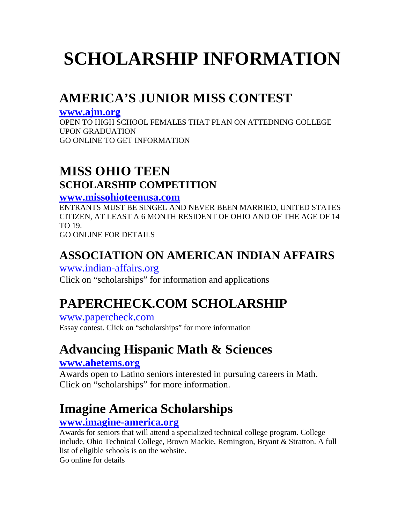## **AMERICA'S JUNIOR MISS CONTEST**

#### **[www.ajm.org](http://www.ajm.org/)**

OPEN TO HIGH SCHOOL FEMALES THAT PLAN ON ATTEDNING COLLEGE UPON GRADUATION GO ONLINE TO GET INFORMATION

### **MISS OHIO TEEN SCHOLARSHIP COMPETITION**

#### **[www.missohioteenusa.com](http://www.missohioteenusa.com/)**

ENTRANTS MUST BE SINGEL AND NEVER BEEN MARRIED, UNITED STATES CITIZEN, AT LEAST A 6 MONTH RESIDENT OF OHIO AND OF THE AGE OF 14 TO 19.

GO ONLINE FOR DETAILS

### **ASSOCIATION ON AMERICAN INDIAN AFFAIRS**

[www.indian-affairs.org](http://www.indian-affairs.org/) Click on "scholarships" for information and applications

## **PAPERCHECK.COM SCHOLARSHIP**

[www.papercheck.com](http://www.papercheck.com/) Essay contest. Click on "scholarships" for more information

### **Advancing Hispanic Math & Sciences**

#### **[www.ahetems.org](http://www.ahetems.org/scholarships)**

Awards open to Latino seniors interested in pursuing careers in Math. Click on "scholarships" for more information.

### **Imagine America Scholarships**

#### **[www.imagine-america.org](http://www.imagine-america.org/)**

Awards for seniors that will attend a specialized technical college program. College include, Ohio Technical College, Brown Mackie, Remington, Bryant & Stratton. A full list of eligible schools is on the website. Go online for details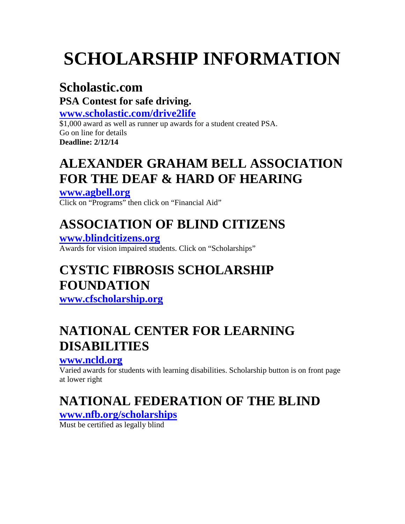### **Scholastic.com**

**PSA Contest for safe driving.**

**[www.scholastic.com/drive2life](http://www.scholastic.com/drive2life)**

\$1,000 award as well as runner up awards for a student created PSA. Go on line for details **Deadline: 2/12/14**

### **ALEXANDER GRAHAM BELL ASSOCIATION FOR THE DEAF & HARD OF HEARING**

**[www.agbell.org](http://www.agbell.org/)** Click on "Programs" then click on "Financial Aid"

# **ASSOCIATION OF BLIND CITIZENS**

**[www.blindcitizens.org](http://www.blindcitizens.org/)**

Awards for vision impaired students. Click on "Scholarships"

## **CYSTIC FIBROSIS SCHOLARSHIP FOUNDATION**

**[www.cfscholarship.org](http://www.cfscholarship.org/)**

## **NATIONAL CENTER FOR LEARNING DISABILITIES**

#### **[www.ncld.org](http://www.ncld.org/)**

Varied awards for students with learning disabilities. Scholarship button is on front page at lower right

# **NATIONAL FEDERATION OF THE BLIND**

#### **[www.nfb.org/scholarships](http://www.nfb.org/scholarships)**

Must be certified as legally blind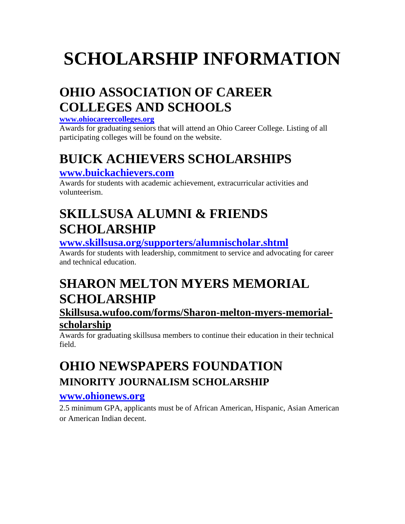## **OHIO ASSOCIATION OF CAREER COLLEGES AND SCHOOLS**

#### **[www.ohiocareercolleges.org](http://www.ohiocareercolleges.org/)**

Awards for graduating seniors that will attend an Ohio Career College. Listing of all participating colleges will be found on the website.

## **BUICK ACHIEVERS SCHOLARSHIPS**

#### **[www.buickachievers.com](http://www.buickachievers.com/)**

Awards for students with academic achievement, extracurricular activities and volunteerism.

### **SKILLSUSA ALUMNI & FRIENDS SCHOLARSHIP**

#### **[www.skillsusa.org/supporters/alumnischolar.shtml](http://www.skillsusa.org/supporters/alumnischolar.shtml)**

Awards for students with leadership, commitment to service and advocating for career and technical education.

## **SHARON MELTON MYERS MEMORIAL SCHOLARSHIP**

#### **Skillsusa.wufoo.com/forms/Sharon-melton-myers-memorialscholarship**

Awards for graduating skillsusa members to continue their education in their technical field.

### **OHIO NEWSPAPERS FOUNDATION MINORITY JOURNALISM SCHOLARSHIP**

#### **[www.ohionews.org](http://www.ohionews.org/)**

2.5 minimum GPA, applicants must be of African American, Hispanic, Asian American or American Indian decent.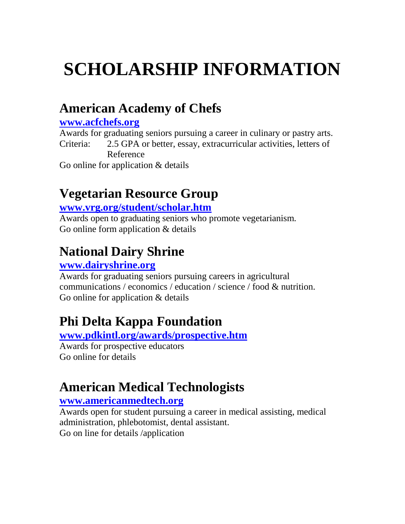### **American Academy of Chefs**

#### **[www.acfchefs.org](http://www.acfchefs.org/)**

Awards for graduating seniors pursuing a career in culinary or pastry arts. Criteria: 2.5 GPA or better, essay, extracurricular activities, letters of Reference

Go online for application & details

### **Vegetarian Resource Group**

#### **[www.vrg.org/student/scholar.htm](http://www.vrg.org/student/scholar.htm)**

Awards open to graduating seniors who promote vegetarianism. Go online form application & details

### **National Dairy Shrine**

#### **[www.dairyshrine.org](http://www.dairyshrine.org/)**

Awards for graduating seniors pursuing careers in agricultural communications / economics / education / science / food & nutrition. Go online for application & details

### **Phi Delta Kappa Foundation**

#### **[www.pdkintl.org/awards/prospective.htm](http://www.pdkintl.org/awards/prospective.htm)**

Awards for prospective educators Go online for details

### **American Medical Technologists**

#### **[www.americanmedtech.org](http://www.americanmedtech.org/)**

Awards open for student pursuing a career in medical assisting, medical administration, phlebotomist, dental assistant.

Go on line for details /application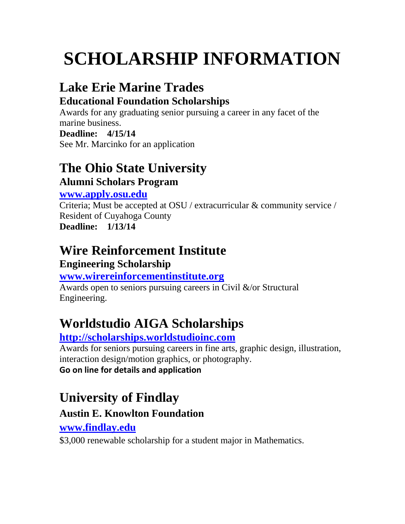## **Lake Erie Marine Trades**

### **Educational Foundation Scholarships**

Awards for any graduating senior pursuing a career in any facet of the marine business.

#### **Deadline: 4/15/14**

See Mr. Marcinko for an application

### **The Ohio State University Alumni Scholars Program**

#### **[www.apply.osu.edu](http://www.apply.osu.edu/)**

Criteria; Must be accepted at OSU / extracurricular & community service / Resident of Cuyahoga County **Deadline: 1/13/14**

## **Wire Reinforcement Institute**

### **Engineering Scholarship**

### **[www.wirereinforcementinstitute.org](http://www.wirereinforcementinstitute.org/)**

Awards open to seniors pursuing careers in Civil &/or Structural Engineering.

# **Worldstudio AIGA Scholarships**

### **[http://scholarships.worldstudioinc.com](http://scholarships.worldstudioinc.com/)**

Awards for seniors pursuing careers in fine arts, graphic design, illustration, interaction design/motion graphics, or photography. **Go on line for details and application**

# **University of Findlay**

### **Austin E. Knowlton Foundation**

### **[www.findlay.edu](http://www.findlay.edu/)**

\$3,000 renewable scholarship for a student major in Mathematics.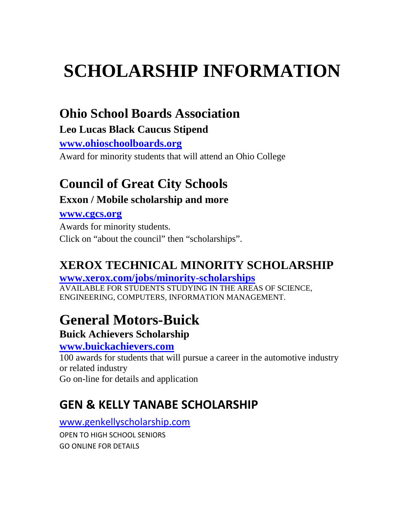### **Ohio School Boards Association**

#### **Leo Lucas Black Caucus Stipend**

**[www.ohioschoolboards.org](http://www.ohioschoolboards.org/)**

Award for minority students that will attend an Ohio College

# **Council of Great City Schools**

#### **Exxon / Mobile scholarship and more**

#### **[www.cgcs.org](http://www.cgcs.org/)**

Awards for minority students. Click on "about the council" then "scholarships".

### **XEROX TECHNICAL MINORITY SCHOLARSHIP**

#### **[www.xerox.com/jobs/minority-scholarships](http://www.xerox.com/jobs/minority-scholarships)**

AVAILABLE FOR STUDENTS STUDYING IN THE AREAS OF SCIENCE, ENGINEERING, COMPUTERS, INFORMATION MANAGEMENT.

# **General Motors-Buick**

### **Buick Achievers Scholarship**

#### **[www.buickachievers.com](http://www.buickachievers.com/)**

100 awards for students that will pursue a career in the automotive industry or related industry

Go on-line for details and application

### **GEN & KELLY TANABE SCHOLARSHIP**

#### [www.genkellyscholarship.com](http://www.genkellyscholarship.com/)

OPEN TO HIGH SCHOOL SENIORS GO ONLINE FOR DETAILS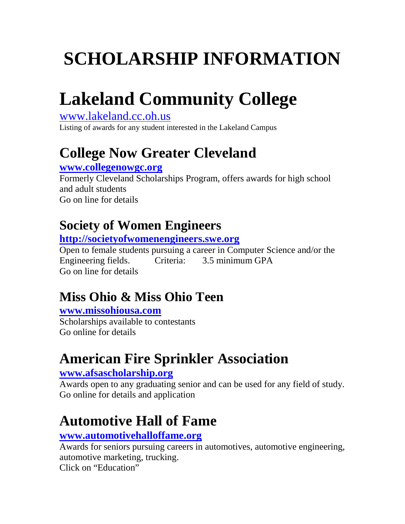# **Lakeland Community College**

[www.lakeland.cc.oh.us](http://www.lakeland.cc.oh.us/)

Listing of awards for any student interested in the Lakeland Campus

# **College Now Greater Cleveland**

#### **[www.collegenowgc.org](http://www.collegenowgc.org/)**

Formerly Cleveland Scholarships Program, offers awards for high school and adult students Go on line for details

## **Society of Women Engineers**

**[http://societyofwomenengineers.swe.org](http://societyofwomenengineers.swe.org/)**

Open to female students pursuing a career in Computer Science and/or the Engineering fields. Criteria: 3.5 minimum GPA Go on line for details

# **Miss Ohio & Miss Ohio Teen**

#### **[www.missohiousa.com](http://www.missohiousa.com/)**

Scholarships available to contestants Go online for details

# **American Fire Sprinkler Association**

#### **[www.afsascholarship.org](http://www.afsascholarship.org/)**

Awards open to any graduating senior and can be used for any field of study. Go online for details and application

# **Automotive Hall of Fame**

#### **[www.automotivehalloffame.org](http://www.automotivehalloffame.org/)**

Awards for seniors pursuing careers in automotives, automotive engineering, automotive marketing, trucking. Click on "Education"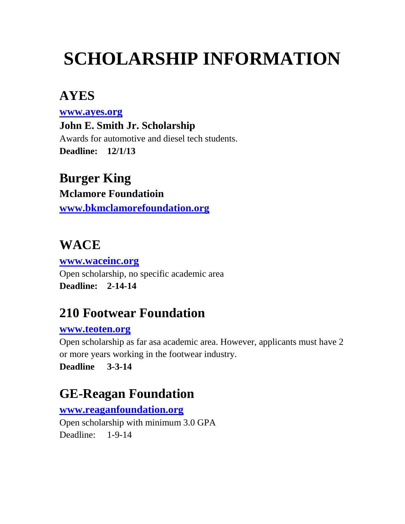### **AYES**

**[www.ayes.org](http://www.ayes.org/)**

**John E. Smith Jr. Scholarship** Awards for automotive and diesel tech students. **Deadline: 12/1/13**

### **Burger King**

**Mclamore Foundatioin [www.bkmclamorefoundation.org](http://www.bkmclamorefoundation.org/)**

### **WACE**

**[www.waceinc.org](http://www.waceinc.org/)** Open scholarship, no specific academic area **Deadline: 2-14-14**

### **210 Footwear Foundation**

#### **[www.teoten.org](http://www.teoten.org/)**

Open scholarship as far asa academic area. However, applicants must have 2 or more years working in the footwear industry.

**Deadline 3-3-14**

### **GE-Reagan Foundation**

**[www.reaganfoundation.org](http://www.reaganfoundation.org/)**

Open scholarship with minimum 3.0 GPA Deadline: 1-9-14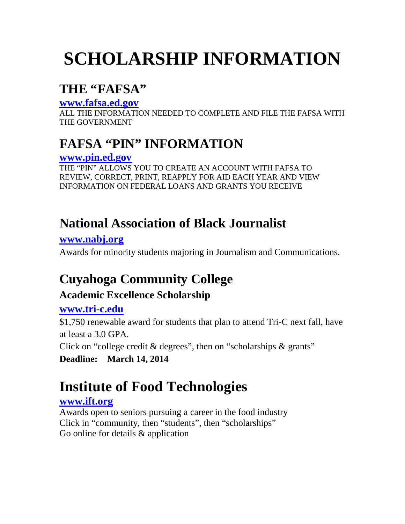### **THE "FAFSA"**

#### **[www.fafsa.ed.gov](http://www.fafsa.ed.gov/)**

ALL THE INFORMATION NEEDED TO COMPLETE AND FILE THE FAFSA WITH THE GOVERNMENT

### **FAFSA "PIN" INFORMATION**

#### **[www.pin.ed.gov](http://www.pin.ed.gov/)**

THE "PIN" ALLOWS YOU TO CREATE AN ACCOUNT WITH FAFSA TO REVIEW, CORRECT, PRINT, REAPPLY FOR AID EACH YEAR AND VIEW INFORMATION ON FEDERAL LOANS AND GRANTS YOU RECEIVE

### **National Association of Black Journalist**

#### **[www.nabj.org](http://www.nabj.org/)** Awards for minority students majoring in Journalism and Communications.

## **Cuyahoga Community College**

### **Academic Excellence Scholarship**

#### **[www.tri-c.edu](http://www.tri-c.edu/)**

\$1,750 renewable award for students that plan to attend Tri-C next fall, have at least a 3.0 GPA. Click on "college credit & degrees", then on "scholarships & grants"

**Deadline: March 14, 2014**

# **Institute of Food Technologies**

#### **[www.ift.org](http://www.ift.org/)**

Awards open to seniors pursuing a career in the food industry Click in "community, then "students", then "scholarships" Go online for details & application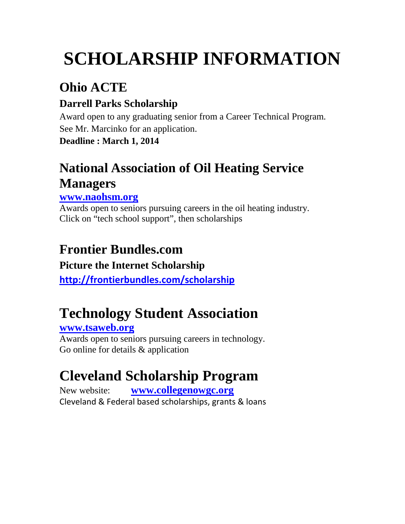# **Ohio ACTE**

### **Darrell Parks Scholarship**

Award open to any graduating senior from a Career Technical Program. See Mr. Marcinko for an application.

**Deadline : March 1, 2014**

## **National Association of Oil Heating Service Managers**

#### **[www.naohsm.org](http://www.naohsm.org/)**

Awards open to seniors pursuing careers in the oil heating industry. Click on "tech school support", then scholarships

## **Frontier Bundles.com**

### **Picture the Internet Scholarship**

**<http://frontierbundles.com/scholarship>**

# **Technology Student Association**

### **[www.tsaweb.org](http://www.tsaweb.org/)**

Awards open to seniors pursuing careers in technology. Go online for details & application

# **Cleveland Scholarship Program**

New website: **[www.collegenowgc.org](http://cl.exct.net/?qs=75ba2f21404062e11092825545e146faefd18e7f8c5ac3f40f3843ec9ce0e8b1)** Cleveland & Federal based scholarships, grants & loans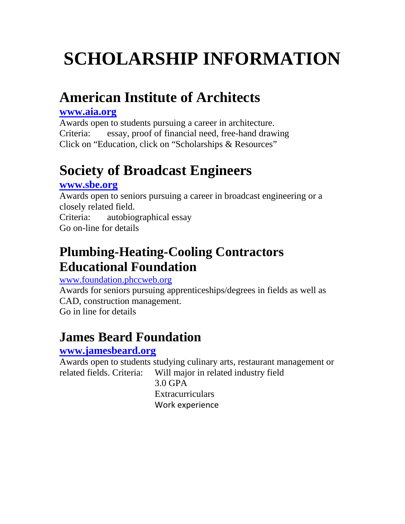# **American Institute of Architects**

#### **[www.aia.org](http://www.aia.org/)**

Awards open to students pursuing a career in architecture. Criteria: essay, proof of financial need, free-hand drawing Click on "Education, click on "Scholarships & Resources"

# **Society of Broadcast Engineers**

#### **[www.sbe.org](http://www.sbe.org/)**

Awards open to seniors pursuing a career in broadcast engineering or a closely related field.

Criteria: autobiographical essay

Go on-line for details

### **Plumbing-Heating-Cooling Contractors Educational Foundation**

#### [www.foundation.phccweb.org](http://www.foundation.phccweb.org/)

Awards for seniors pursuing apprenticeships/degrees in fields as well as CAD, construction management. Go in line for details

## **James Beard Foundation**

#### **[www.jamesbeard.org](http://www.jamesbeard.org/)**

Awards open to students studying culinary arts, restaurant management or related fields. Criteria: Will major in related industry field 3.0 GPA **Extracurriculars** Work experience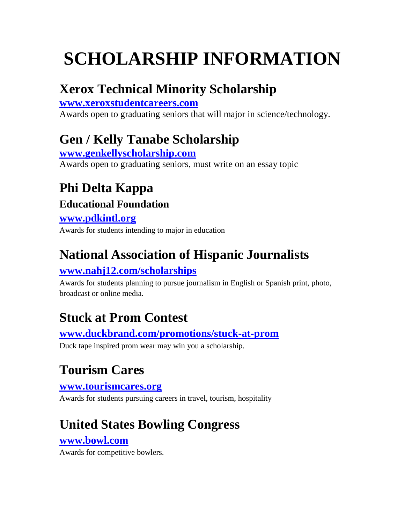## **Xerox Technical Minority Scholarship**

**[www.xeroxstudentcareers.com](http://www.xeroxstudentcareers.com/)** Awards open to graduating seniors that will major in science/technology.

## **Gen / Kelly Tanabe Scholarship**

**[www.genkellyscholarship.com](http://www.genkellyscholarship.com/)** Awards open to graduating seniors, must write on an essay topic

# **Phi Delta Kappa**

### **Educational Foundation**

#### **[www.pdkintl.org](http://www.pdkintl.org/)**

Awards for students intending to major in education

## **National Association of Hispanic Journalists**

### **[www.nahj12.com/scholarships](http://www.nahj12.com/scholarships)**

Awards for students planning to pursue journalism in English or Spanish print, photo, broadcast or online media.

## **Stuck at Prom Contest**

**[www.duckbrand.com/promotions/stuck-at-prom](http://www.duckbrand.com/promotions/stuck-at-prom)**

Duck tape inspired prom wear may win you a scholarship.

# **Tourism Cares**

#### **[www.tourismcares.org](http://www.tourismcares.org/)**

Awards for students pursuing careers in travel, tourism, hospitality

# **United States Bowling Congress**

#### **[www.bowl.com](http://www.bowl.com/)**

Awards for competitive bowlers.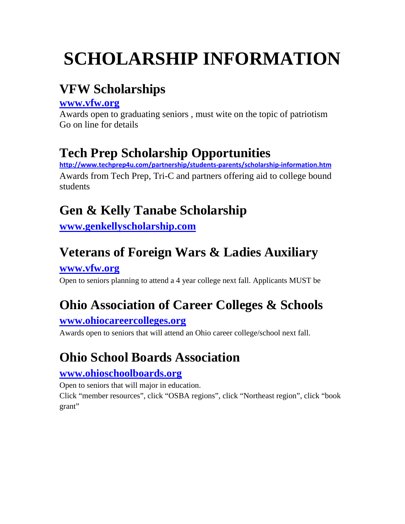## **VFW Scholarships**

#### **[www.vfw.org](http://www.vfw.org/)**

Awards open to graduating seniors , must wite on the topic of patriotism Go on line for details

## **Tech Prep Scholarship Opportunities**

**<http://www.techprep4u.com/partnership/students-parents/scholarship-information.htm>** Awards from Tech Prep, Tri-C and partners offering aid to college bound students

## **Gen & Kelly Tanabe Scholarship**

**[www.genkellyscholarship.com](http://www.genkellyscholarship.com/)**

## **Veterans of Foreign Wars & Ladies Auxiliary**

**[www.vfw.org](http://www.vfw.org/)**

Open to seniors planning to attend a 4 year college next fall. Applicants MUST be

## **Ohio Association of Career Colleges & Schools**

#### **[www.ohiocareercolleges.org](http://www.ohiocareercolleges.org/)**

Awards open to seniors that will attend an Ohio career college/school next fall.

## **Ohio School Boards Association**

#### **[www.ohioschoolboards.org](http://www.ohioschoolboards.org/)**

Open to seniors that will major in education.

Click "member resources", click "OSBA regions", click "Northeast region", click "book grant"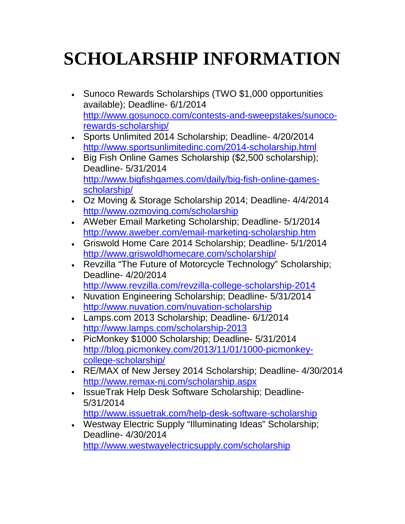- Sunoco Rewards Scholarships (TWO \$1,000 opportunities available); Deadline- 6/1/2014 [http://www.gosunoco.com/contests-and-sweepstakes/sunoco](http://www.gosunoco.com/contests-and-sweepstakes/sunoco-rewards-scholarship/)[rewards-scholarship/](http://www.gosunoco.com/contests-and-sweepstakes/sunoco-rewards-scholarship/)
- Sports Unlimited 2014 Scholarship; Deadline- 4/20/2014 <http://www.sportsunlimitedinc.com/2014-scholarship.html>
- Big Fish Online Games Scholarship (\$2,500 scholarship); Deadline- 5/31/2014 [http://www.bigfishgames.com/daily/big-fish-online-games](http://www.bigfishgames.com/daily/big-fish-online-games-scholarship/)[scholarship/](http://www.bigfishgames.com/daily/big-fish-online-games-scholarship/)
- Oz Moving & Storage Scholarship 2014; Deadline- 4/4/2014 <http://www.ozmoving.com/scholarship>
- AWeber Email Marketing Scholarship; Deadline- 5/1/2014 <http://www.aweber.com/email-marketing-scholarship.htm>
- Griswold Home Care 2014 Scholarship; Deadline- 5/1/2014 <http://www.griswoldhomecare.com/scholarship/>
- Revzilla "The Future of Motorcycle Technology" Scholarship; Deadline- 4/20/2014 <http://www.revzilla.com/revzilla-college-scholarship-2014>
- Nuvation Engineering Scholarship; Deadline- 5/31/2014 <http://www.nuvation.com/nuvation-scholarship>
- Lamps.com 2013 Scholarship; Deadline- 6/1/2014 <http://www.lamps.com/scholarship-2013>
- PicMonkey \$1000 Scholarship; Deadline- 5/31/2014 [http://blog.picmonkey.com/2013/11/01/1000-picmonkey](http://blog.picmonkey.com/2013/11/01/1000-picmonkey-college-scholarship/)[college-scholarship/](http://blog.picmonkey.com/2013/11/01/1000-picmonkey-college-scholarship/)
- RE/MAX of New Jersey 2014 Scholarship; Deadline- 4/30/2014 <http://www.remax-nj.com/scholarship.aspx>
- IssueTrak Help Desk Software Scholarship; Deadline-5/31/2014 <http://www.issuetrak.com/help-desk-software-scholarship>
- Westway Electric Supply "Illuminating Ideas" Scholarship; Deadline- 4/30/2014 <http://www.westwayelectricsupply.com/scholarship>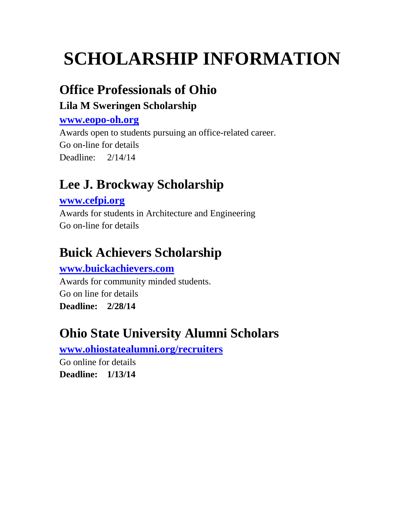### **Office Professionals of Ohio**

### **Lila M Sweringen Scholarship**

#### **[www.eopo-oh.org](http://www.eopo-oh.org/)**

Awards open to students pursuing an office-related career. Go on-line for details Deadline: 2/14/14

## **Lee J. Brockway Scholarship**

#### **[www.cefpi.org](http://www.cefpi.org/)**

Awards for students in Architecture and Engineering Go on-line for details

## **Buick Achievers Scholarship**

#### **[www.buickachievers.com](http://www.buickachievers.com/)**

Awards for community minded students. Go on line for details **Deadline: 2/28/14**

### **Ohio State University Alumni Scholars**

**[www.ohiostatealumni.org/recruiters](http://www.ohiostatealumni.org/recruiters)**

Go online for details **Deadline: 1/13/14**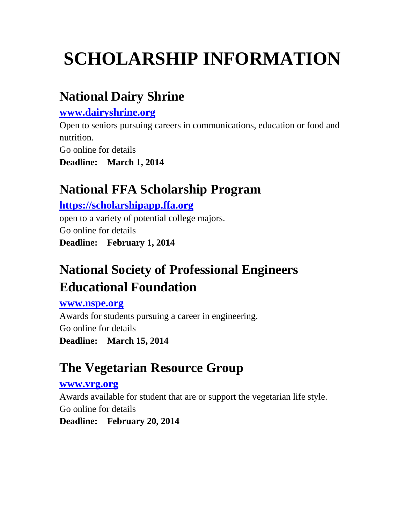### **National Dairy Shrine**

#### **[www.dairyshrine.org](http://www.dairyshrine.org/)**

Open to seniors pursuing careers in communications, education or food and nutrition.

Go online for details

**Deadline: March 1, 2014**

### **National FFA Scholarship Program**

#### **[https://scholarshipapp.ffa.org](https://scholarshipapp.ffa.org/)**

open to a variety of potential college majors. Go online for details **Deadline: February 1, 2014**

## **National Society of Professional Engineers Educational Foundation**

#### **[www.nspe.org](http://www.nspe.org/)**

Awards for students pursuing a career in engineering. Go online for details **Deadline: March 15, 2014**

## **The Vegetarian Resource Group**

#### **[www.vrg.org](http://www.vrg.org/)**

Awards available for student that are or support the vegetarian life style. Go online for details

**Deadline: February 20, 2014**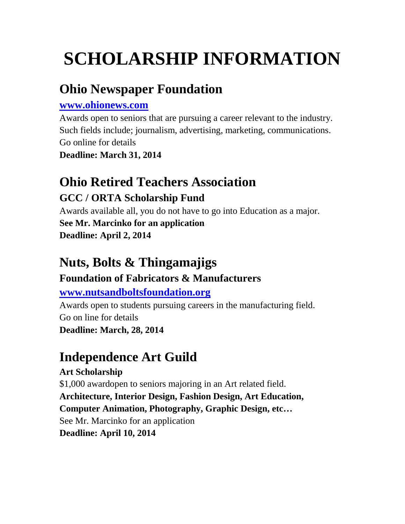# **Ohio Newspaper Foundation**

#### **[www.ohionews.com](http://www.ohionews.com/)**

Awards open to seniors that are pursuing a career relevant to the industry. Such fields include; journalism, advertising, marketing, communications. Go online for details

**Deadline: March 31, 2014**

# **Ohio Retired Teachers Association**

### **GCC / ORTA Scholarship Fund**

Awards available all, you do not have to go into Education as a major. **See Mr. Marcinko for an application**

**Deadline: April 2, 2014**

## **Nuts, Bolts & Thingamajigs**

### **Foundation of Fabricators & Manufacturers**

**[www.nutsandboltsfoundation.org](http://www.nutsandboltsfoundation.org/)**

Awards open to students pursuing careers in the manufacturing field. Go on line for details **Deadline: March, 28, 2014**

# **Independence Art Guild**

**Art Scholarship** \$1,000 awardopen to seniors majoring in an Art related field. **Architecture, Interior Design, Fashion Design, Art Education, Computer Animation, Photography, Graphic Design, etc…** See Mr. Marcinko for an application **Deadline: April 10, 2014**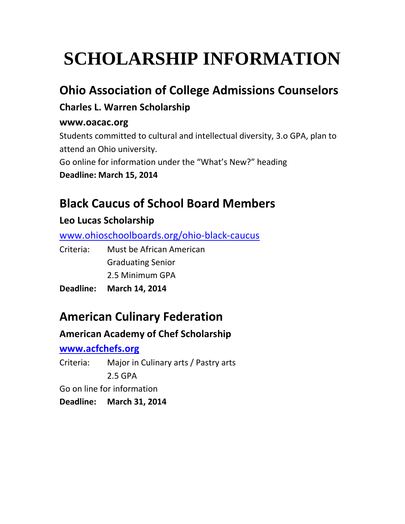### **Ohio Association of College Admissions Counselors**

### **Charles L. Warren Scholarship**

#### **www.oacac.org**

Students committed to cultural and intellectual diversity, 3.o GPA, plan to attend an Ohio university. Go online for information under the "What's New?" heading **Deadline: March 15, 2014**

## **Black Caucus of School Board Members**

### **Leo Lucas Scholarship**

[www.ohioschoolboards.org/ohio-black-caucus](http://www.ohioschoolboards.org/ohio-black-caucus)

Criteria: Must be African American Graduating Senior 2.5 Minimum GPA

**Deadline: March 14, 2014**

## **American Culinary Federation**

### **American Academy of Chef Scholarship**

#### **[www.acfchefs.org](http://www.acfchefs.org/)**

Criteria: Major in Culinary arts / Pastry arts 2.5 GPA Go on line for information **Deadline: March 31, 2014**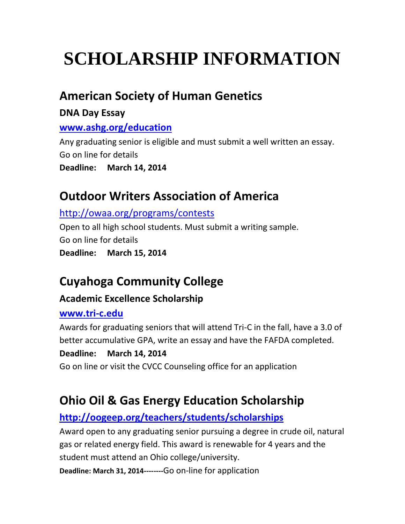### **American Society of Human Genetics**

#### **DNA Day Essay**

#### **[www.ashg.org/education](http://www.ashg.org/education)**

Any graduating senior is eligible and must submit a well written an essay. Go on line for details

**Deadline: March 14, 2014**

### **Outdoor Writers Association of America**

#### <http://owaa.org/programs/contests>

Open to all high school students. Must submit a writing sample. Go on line for details **Deadline: March 15, 2014**

## **Cuyahoga Community College**

### **Academic Excellence Scholarship**

#### **[www.tri-c.edu](http://www.tri-c.edu/)**

Awards for graduating seniors that will attend Tri-C in the fall, have a 3.0 of better accumulative GPA, write an essay and have the FAFDA completed.

#### **Deadline: March 14, 2014**

Go on line or visit the CVCC Counseling office for an application

### **Ohio Oil & Gas Energy Education Scholarship**

### **<http://oogeep.org/teachers/students/scholarships>**

Award open to any graduating senior pursuing a degree in crude oil, natural gas or related energy field. This award is renewable for 4 years and the student must attend an Ohio college/university.

**Deadline: March 31, 2014--------**Go on-line for application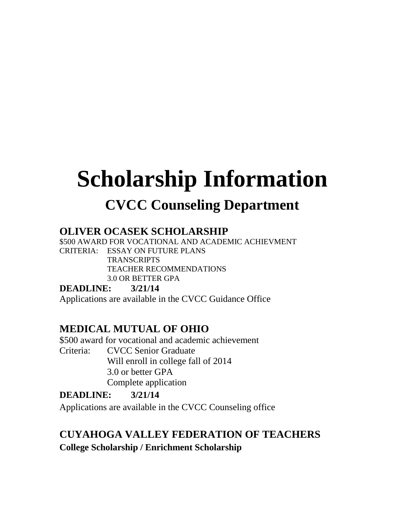# **Scholarship Information CVCC Counseling Department**

#### **OLIVER OCASEK SCHOLARSHIP**

\$500 AWARD FOR VOCATIONAL AND ACADEMIC ACHIEVMENT CRITERIA: ESSAY ON FUTURE PLANS **TRANSCRIPTS** TEACHER RECOMMENDATIONS 3.0 OR BETTER GPA

**DEADLINE: 3/21/14**

Applications are available in the CVCC Guidance Office

#### **MEDICAL MUTUAL OF OHIO**

\$500 award for vocational and academic achievement Criteria: CVCC Senior Graduate Will enroll in college fall of 2014 3.0 or better GPA Complete application

#### **DEADLINE: 3/21/14**

Applications are available in the CVCC Counseling office

### **CUYAHOGA VALLEY FEDERATION OF TEACHERS**

**College Scholarship / Enrichment Scholarship**